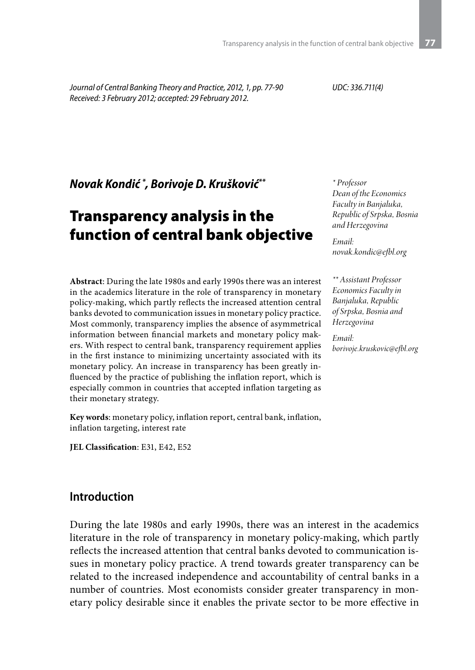*Journal of Central Banking Theory and Practice, 2012, 1, pp. 77-90 Received: 3 February 2012; accepted: 29 February 2012.*

*UDC: 336.711(4)*

*Novak Kondić \* , Borivoje D. Krušković\*\**

# Transparency analysis in the function of central bank objective

**Abstract**: During the late 1980s and early 1990s there was an interest in the academics literature in the role of transparency in monetary policy-making, which partly reflects the increased attention central banks devoted to communication issues in monetary policy practice. Most commonly, transparency implies the absence of asymmetrical information between financial markets and monetary policy makers. With respect to central bank, transparency requirement applies in the first instance to minimizing uncertainty associated with its monetary policy. An increase in transparency has been greatly influenced by the practice of publishing the inflation report, which is especially common in countries that accepted inflation targeting as their monetary strategy.

**Key words**: monetary policy, inflation report, central bank, inflation, inflation targeting, interest rate

**JEL Classification**: E31, E42, E52

#### **Introduction**

During the late 1980s and early 1990s, there was an interest in the academics literature in the role of transparency in monetary policy-making, which partly reflects the increased attention that central banks devoted to communication issues in monetary policy practice. A trend towards greater transparency can be related to the increased independence and accountability of central banks in a number of countries. Most economists consider greater transparency in monetary policy desirable since it enables the private sector to be more effective in

*\* Professor Dean of the Economics Faculty in Banjaluka, Republic of Srpska, Bosnia and Herzegovina*

*Email: novak.kondic@efbl.org*

*\*\* Assistant Professor Economics Faculty in Banjaluka, Republic of Srpska, Bosnia and Herzegovina*

*Email: borivoje.kruskovic@efbl.org*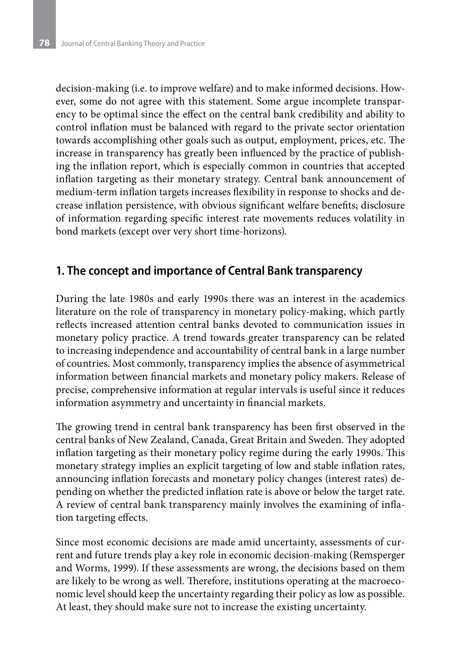decision-making (i.e. to improve welfare) and to make informed decisions. However, some do not agree with this statement. Some argue incomplete transparency to be optimal since the effect on the central bank credibility and ability to control inflation must be balanced with regard to the private sector orientation towards accomplishing other goals such as output, employment, prices, etc. The increase in transparency has greatly been influenced by the practice of publishing the inflation report, which is especially common in countries that accepted inflation targeting as their monetary strategy. Central bank announcement of medium-term inflation targets increases flexibility in response to shocks and decrease inflation persistence, with obvious significant welfare benefits; disclosure of information regarding specific interest rate movements reduces volatility in bond markets (except over very short time-horizons).

### **1. The concept and importance of Central Bank transparency**

During the late 1980s and early 1990s there was an interest in the academics literature on the role of transparency in monetary policy-making, which partly reflects increased attention central banks devoted to communication issues in monetary policy practice. A trend towards greater transparency can be related to increasing independence and accountability of central bank in a large number of countries. Most commonly, transparency implies the absence of asymmetrical information between financial markets and monetary policy makers. Release of precise, comprehensive information at regular intervals is useful since it reduces information asymmetry and uncertainty in financial markets.

The growing trend in central bank transparency has been first observed in the central banks of New Zealand, Canada, Great Britain and Sweden. They adopted inflation targeting as their monetary policy regime during the early 1990s. This monetary strategy implies an explicit targeting of low and stable inflation rates, announcing inflation forecasts and monetary policy changes (interest rates) depending on whether the predicted inflation rate is above or below the target rate. A review of central bank transparency mainly involves the examining of inflation targeting effects.

Since most economic decisions are made amid uncertainty, assessments of current and future trends play a key role in economic decision-making (Remsperger and Worms, 1999). If these assessments are wrong, the decisions based on them are likely to be wrong as well. Therefore, institutions operating at the macroeconomic level should keep the uncertainty regarding their policy as low as possible. At least, they should make sure not to increase the existing uncertainty.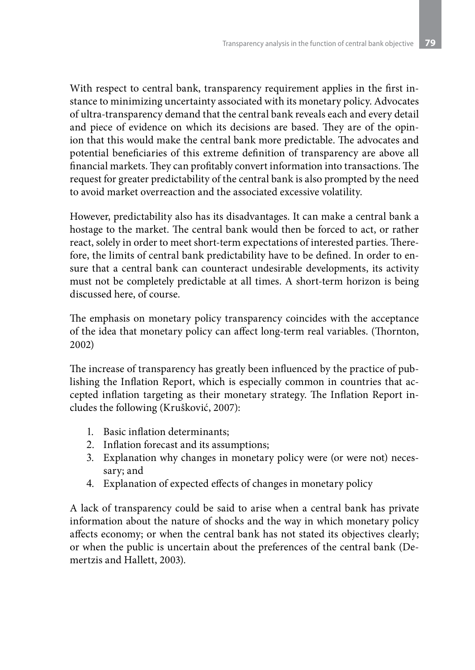With respect to central bank, transparency requirement applies in the first instance to minimizing uncertainty associated with its monetary policy. Advocates of ultra-transparency demand that the central bank reveals each and every detail and piece of evidence on which its decisions are based. They are of the opinion that this would make the central bank more predictable. The advocates and potential beneficiaries of this extreme definition of transparency are above all financial markets. They can profitably convert information into transactions. The request for greater predictability of the central bank is also prompted by the need to avoid market overreaction and the associated excessive volatility.

However, predictability also has its disadvantages. It can make a central bank a hostage to the market. The central bank would then be forced to act, or rather react, solely in order to meet short-term expectations of interested parties. Therefore, the limits of central bank predictability have to be defined. In order to ensure that a central bank can counteract undesirable developments, its activity must not be completely predictable at all times. A short-term horizon is being discussed here, of course.

The emphasis on monetary policy transparency coincides with the acceptance of the idea that monetary policy can affect long-term real variables. (Thornton, 2002)

The increase of transparency has greatly been influenced by the practice of publishing the Inflation Report, which is especially common in countries that accepted inflation targeting as their monetary strategy. The Inflation Report includes the following (Krušković, 2007):

- 1. Basic inflation determinants;
- 2. Inflation forecast and its assumptions;
- 3. Explanation why changes in monetary policy were (or were not) necessary; and
- 4. Explanation of expected effects of changes in monetary policy

A lack of transparency could be said to arise when a central bank has private information about the nature of shocks and the way in which monetary policy affects economy; or when the central bank has not stated its objectives clearly; or when the public is uncertain about the preferences of the central bank (Demertzis and Hallett, 2003).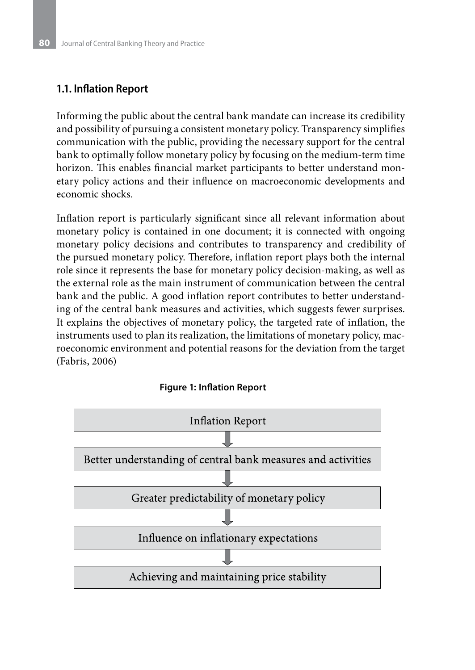#### **1.1. Inflation Report**

Informing the public about the central bank mandate can increase its credibility and possibility of pursuing a consistent monetary policy. Transparency simplifies communication with the public, providing the necessary support for the central bank to optimally follow monetary policy by focusing on the medium-term time horizon. This enables financial market participants to better understand monetary policy actions and their influence on macroeconomic developments and economic shocks.

Inflation report is particularly significant since all relevant information about monetary policy is contained in one document; it is connected with ongoing monetary policy decisions and contributes to transparency and credibility of the pursued monetary policy. Therefore, inflation report plays both the internal role since it represents the base for monetary policy decision-making, as well as the external role as the main instrument of communication between the central bank and the public. A good inflation report contributes to better understanding of the central bank measures and activities, which suggests fewer surprises. It explains the objectives of monetary policy, the targeted rate of inflation, the instruments used to plan its realization, the limitations of monetary policy, macroeconomic environment and potential reasons for the deviation from the target (Fabris, 2006)



**Figure 1: Inflation Report**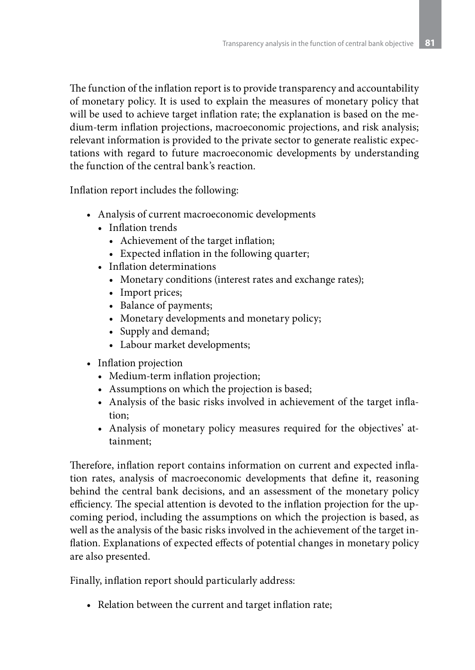The function of the inflation report is to provide transparency and accountability of monetary policy. It is used to explain the measures of monetary policy that will be used to achieve target inflation rate; the explanation is based on the medium-term inflation projections, macroeconomic projections, and risk analysis; relevant information is provided to the private sector to generate realistic expectations with regard to future macroeconomic developments by understanding the function of the central bank's reaction.

Inflation report includes the following:

- • Analysis of current macroeconomic developments
	- Inflation trends
		- • Achievement of the target inflation;
		- Expected inflation in the following quarter;
	- • Inflation determinations
		- Monetary conditions (interest rates and exchange rates);
		- Import prices;
		- • Balance of payments;
		- Monetary developments and monetary policy;
		- Supply and demand;
		- Labour market developments;
- Inflation projection
	- Medium-term inflation projection;
	- Assumptions on which the projection is based;
	- Analysis of the basic risks involved in achievement of the target inflation;
	- Analysis of monetary policy measures required for the objectives' attainment;

Therefore, inflation report contains information on current and expected inflation rates, analysis of macroeconomic developments that define it, reasoning behind the central bank decisions, and an assessment of the monetary policy efficiency. The special attention is devoted to the inflation projection for the upcoming period, including the assumptions on which the projection is based, as well as the analysis of the basic risks involved in the achievement of the target inflation. Explanations of expected effects of potential changes in monetary policy are also presented.

Finally, inflation report should particularly address:

• Relation between the current and target inflation rate;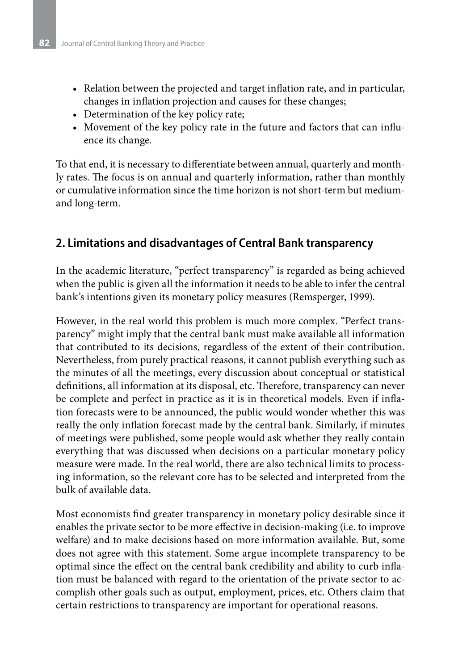- Relation between the projected and target inflation rate, and in particular, changes in inflation projection and causes for these changes;
- Determination of the key policy rate;
- Movement of the key policy rate in the future and factors that can influence its change.

To that end, it is necessary to differentiate between annual, quarterly and monthly rates. The focus is on annual and quarterly information, rather than monthly or cumulative information since the time horizon is not short-term but mediumand long-term.

## **2. Limitations and disadvantages of Central Bank transparency**

In the academic literature, "perfect transparency" is regarded as being achieved when the public is given all the information it needs to be able to infer the central bank's intentions given its monetary policy measures (Remsperger, 1999).

However, in the real world this problem is much more complex. "Perfect transparency" might imply that the central bank must make available all information that contributed to its decisions, regardless of the extent of their contribution. Nevertheless, from purely practical reasons, it cannot publish everything such as the minutes of all the meetings, every discussion about conceptual or statistical definitions, all information at its disposal, etc. Therefore, transparency can never be complete and perfect in practice as it is in theoretical models. Even if inflation forecasts were to be announced, the public would wonder whether this was really the only inflation forecast made by the central bank. Similarly, if minutes of meetings were published, some people would ask whether they really contain everything that was discussed when decisions on a particular monetary policy measure were made. In the real world, there are also technical limits to processing information, so the relevant core has to be selected and interpreted from the bulk of available data.

Most economists find greater transparency in monetary policy desirable since it enables the private sector to be more effective in decision-making (i.e. to improve welfare) and to make decisions based on more information available. But, some does not agree with this statement. Some argue incomplete transparency to be optimal since the effect on the central bank credibility and ability to curb inflation must be balanced with regard to the orientation of the private sector to accomplish other goals such as output, employment, prices, etc. Others claim that certain restrictions to transparency are important for operational reasons.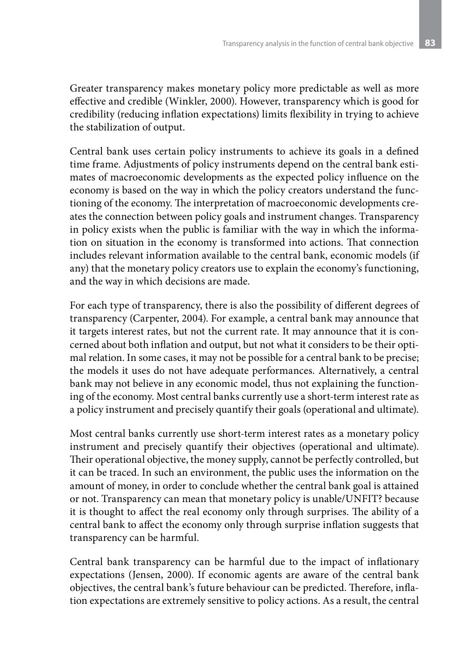Greater transparency makes monetary policy more predictable as well as more effective and credible (Winkler, 2000). However, transparency which is good for credibility (reducing inflation expectations) limits flexibility in trying to achieve the stabilization of output.

Central bank uses certain policy instruments to achieve its goals in a defined time frame. Adjustments of policy instruments depend on the central bank estimates of macroeconomic developments as the expected policy influence on the economy is based on the way in which the policy creators understand the functioning of the economy. The interpretation of macroeconomic developments creates the connection between policy goals and instrument changes. Transparency in policy exists when the public is familiar with the way in which the information on situation in the economy is transformed into actions. That connection includes relevant information available to the central bank, economic models (if any) that the monetary policy creators use to explain the economy's functioning, and the way in which decisions are made.

For each type of transparency, there is also the possibility of different degrees of transparency (Carpenter, 2004). For example, a central bank may announce that it targets interest rates, but not the current rate. It may announce that it is concerned about both inflation and output, but not what it considers to be their optimal relation. In some cases, it may not be possible for a central bank to be precise; the models it uses do not have adequate performances. Alternatively, a central bank may not believe in any economic model, thus not explaining the functioning of the economy. Most central banks currently use a short-term interest rate as a policy instrument and precisely quantify their goals (operational and ultimate).

Most central banks currently use short-term interest rates as a monetary policy instrument and precisely quantify their objectives (operational and ultimate). Their operational objective, the money supply, cannot be perfectly controlled, but it can be traced. In such an environment, the public uses the information on the amount of money, in order to conclude whether the central bank goal is attained or not. Transparency can mean that monetary policy is unable/UNFIT? because it is thought to affect the real economy only through surprises. The ability of a central bank to affect the economy only through surprise inflation suggests that transparency can be harmful.

Central bank transparency can be harmful due to the impact of inflationary expectations (Jensen, 2000). If economic agents are aware of the central bank objectives, the central bank's future behaviour can be predicted. Therefore, inflation expectations are extremely sensitive to policy actions. As a result, the central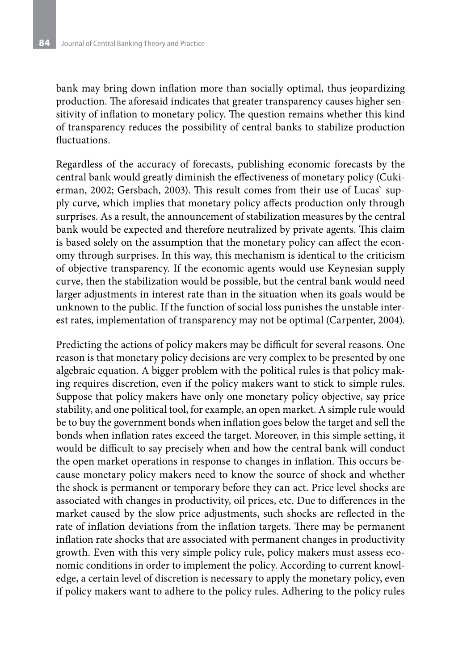bank may bring down inflation more than socially optimal, thus jeopardizing production. The aforesaid indicates that greater transparency causes higher sensitivity of inflation to monetary policy. The question remains whether this kind of transparency reduces the possibility of central banks to stabilize production fluctuations.

Regardless of the accuracy of forecasts, publishing economic forecasts by the central bank would greatly diminish the effectiveness of monetary policy (Cukierman, 2002; Gersbach, 2003). This result comes from their use of Lucas` supply curve, which implies that monetary policy affects production only through surprises. As a result, the announcement of stabilization measures by the central bank would be expected and therefore neutralized by private agents. This claim is based solely on the assumption that the monetary policy can affect the economy through surprises. In this way, this mechanism is identical to the criticism of objective transparency. If the economic agents would use Keynesian supply curve, then the stabilization would be possible, but the central bank would need larger adjustments in interest rate than in the situation when its goals would be unknown to the public. If the function of social loss punishes the unstable interest rates, implementation of transparency may not be optimal (Carpenter, 2004).

Predicting the actions of policy makers may be difficult for several reasons. One reason is that monetary policy decisions are very complex to be presented by one algebraic equation. A bigger problem with the political rules is that policy making requires discretion, even if the policy makers want to stick to simple rules. Suppose that policy makers have only one monetary policy objective, say price stability, and one political tool, for example, an open market. A simple rule would be to buy the government bonds when inflation goes below the target and sell the bonds when inflation rates exceed the target. Moreover, in this simple setting, it would be difficult to say precisely when and how the central bank will conduct the open market operations in response to changes in inflation. This occurs because monetary policy makers need to know the source of shock and whether the shock is permanent or temporary before they can act. Price level shocks are associated with changes in productivity, oil prices, etc. Due to differences in the market caused by the slow price adjustments, such shocks are reflected in the rate of inflation deviations from the inflation targets. There may be permanent inflation rate shocks that are associated with permanent changes in productivity growth. Even with this very simple policy rule, policy makers must assess economic conditions in order to implement the policy. According to current knowledge, a certain level of discretion is necessary to apply the monetary policy, even if policy makers want to adhere to the policy rules. Adhering to the policy rules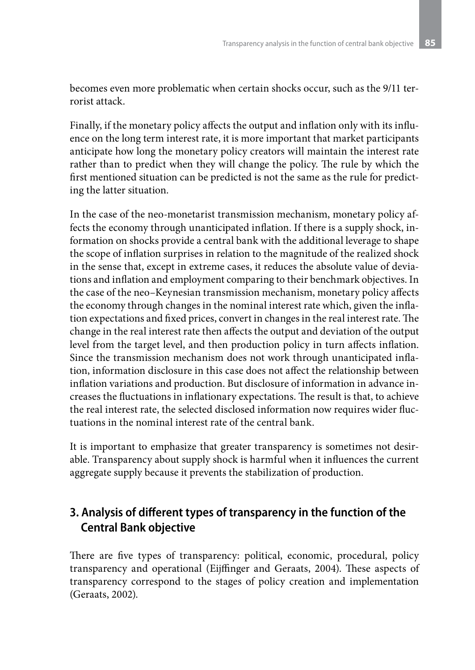becomes even more problematic when certain shocks occur, such as the 9/11 terrorist attack.

Finally, if the monetary policy affects the output and inflation only with its influence on the long term interest rate, it is more important that market participants anticipate how long the monetary policy creators will maintain the interest rate rather than to predict when they will change the policy. The rule by which the first mentioned situation can be predicted is not the same as the rule for predicting the latter situation.

In the case of the neo-monetarist transmission mechanism, monetary policy affects the economy through unanticipated inflation. If there is a supply shock, information on shocks provide a central bank with the additional leverage to shape the scope of inflation surprises in relation to the magnitude of the realized shock in the sense that, except in extreme cases, it reduces the absolute value of deviations and inflation and employment comparing to their benchmark objectives. In the case of the neo–Keynesian transmission mechanism, monetary policy affects the economy through changes in the nominal interest rate which, given the inflation expectations and fixed prices, convert in changes in the real interest rate. The change in the real interest rate then affects the output and deviation of the output level from the target level, and then production policy in turn affects inflation. Since the transmission mechanism does not work through unanticipated inflation, information disclosure in this case does not affect the relationship between inflation variations and production. But disclosure of information in advance increases the fluctuations in inflationary expectations. The result is that, to achieve the real interest rate, the selected disclosed information now requires wider fluctuations in the nominal interest rate of the central bank.

It is important to emphasize that greater transparency is sometimes not desirable. Transparency about supply shock is harmful when it influences the current aggregate supply because it prevents the stabilization of production.

## **3. Analysis of different types of transparency in the function of the Central Bank objective**

There are five types of transparency: political, economic, procedural, policy transparency and operational (Eijffinger and Geraats, 2004). These aspects of transparency correspond to the stages of policy creation and implementation (Geraats, 2002).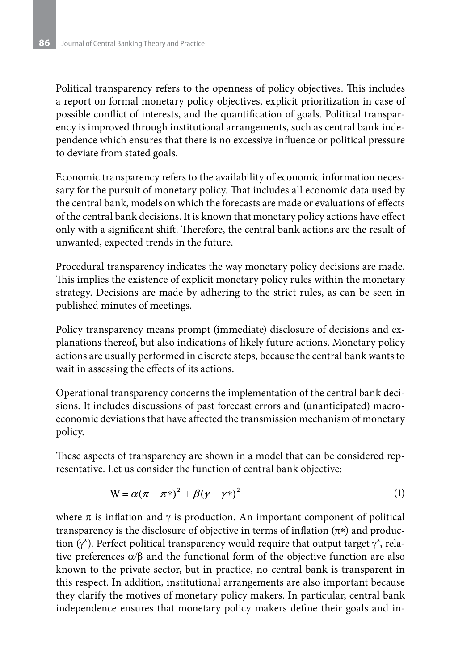Political transparency refers to the openness of policy objectives. This includes a report on formal monetary policy objectives, explicit prioritization in case of possible conflict of interests, and the quantification of goals. Political transparency is improved through institutional arrangements, such as central bank independence which ensures that there is no excessive influence or political pressure to deviate from stated goals.

Economic transparency refers to the availability of economic information necessary for the pursuit of monetary policy. That includes all economic data used by the central bank, models on which the forecasts are made or evaluations of effects of the central bank decisions. It is known that monetary policy actions have effect only with a significant shift. Therefore, the central bank actions are the result of unwanted, expected trends in the future.

Procedural transparency indicates the way monetary policy decisions are made. This implies the existence of explicit monetary policy rules within the monetary strategy. Decisions are made by adhering to the strict rules, as can be seen in published minutes of meetings.

Policy transparency means prompt (immediate) disclosure of decisions and explanations thereof, but also indications of likely future actions. Monetary policy actions are usually performed in discrete steps, because the central bank wants to wait in assessing the effects of its actions.

Operational transparency concerns the implementation of the central bank decisions. It includes discussions of past forecast errors and (unanticipated) macroeconomic deviations that have affected the transmission mechanism of monetary policy.

These aspects of transparency are shown in a model that can be considered representative. Let us consider the function of central bank objective:

$$
W = \alpha(\pi - \pi^*)^2 + \beta(\gamma - \gamma^*)^2
$$
 (1)

where  $\pi$  is inflation and  $\gamma$  is production. An important component of political transparency is the disclosure of objective in terms of inflation  $(\pi^*)$  and production ( $\gamma^*$ ). Perfect political transparency would require that output target  $\gamma^*$ , relative preferences  $\alpha/\beta$  and the functional form of the objective function are also known to the private sector, but in practice, no central bank is transparent in this respect. In addition, institutional arrangements are also important because they clarify the motives of monetary policy makers. In particular, central bank independence ensures that monetary policy makers define their goals and in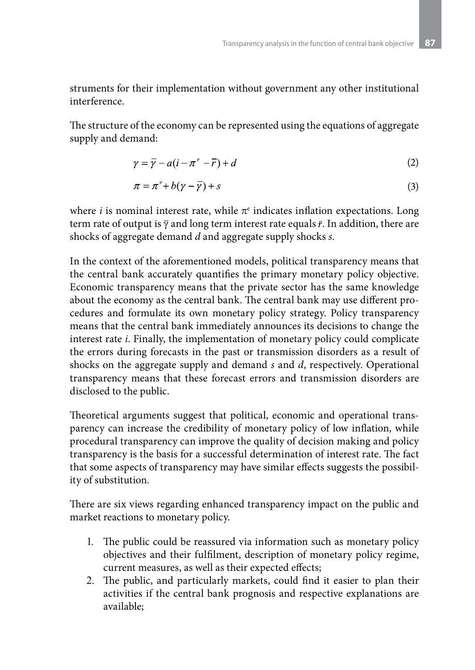struments for their implementation without government any other institutional interference.

The structure of the economy can be represented using the equations of aggregate supply and demand:

$$
\gamma = \overline{\gamma} - a(i - \pi^e - \overline{r}) + d \tag{2}
$$

$$
\pi = \pi^e + b(\gamma - \overline{\gamma}) + s \tag{3}
$$

where  $i$  is nominal interest rate, while  $\pi^e$  indicates inflation expectations. Long term rate of output is  $\bar{y}$  and long term interest rate equals  $\bar{r}$ . In addition, there are shocks of aggregate demand *d* and aggregate supply shocks *s*.

In the context of the aforementioned models, political transparency means that the central bank accurately quantifies the primary monetary policy objective. Economic transparency means that the private sector has the same knowledge about the economy as the central bank. The central bank may use different procedures and formulate its own monetary policy strategy. Policy transparency means that the central bank immediately announces its decisions to change the interest rate *i*. Finally, the implementation of monetary policy could complicate the errors during forecasts in the past or transmission disorders as a result of shocks on the aggregate supply and demand *s* and *d*, respectively. Operational transparency means that these forecast errors and transmission disorders are disclosed to the public.

Theoretical arguments suggest that political, economic and operational transparency can increase the credibility of monetary policy of low inflation, while procedural transparency can improve the quality of decision making and policy transparency is the basis for a successful determination of interest rate. The fact that some aspects of transparency may have similar effects suggests the possibility of substitution.

There are six views regarding enhanced transparency impact on the public and market reactions to monetary policy.

- 1. The public could be reassured via information such as monetary policy objectives and their fulfilment, description of monetary policy regime, current measures, as well as their expected effects;
- 2. The public, and particularly markets, could find it easier to plan their activities if the central bank prognosis and respective explanations are available;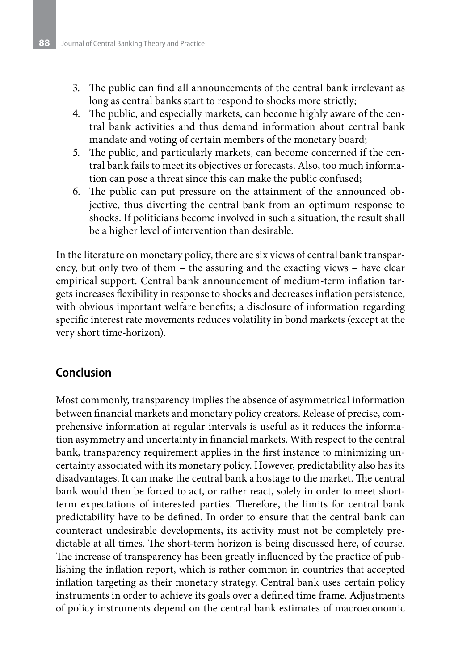- 3. The public can find all announcements of the central bank irrelevant as long as central banks start to respond to shocks more strictly;
- 4. The public, and especially markets, can become highly aware of the central bank activities and thus demand information about central bank mandate and voting of certain members of the monetary board;
- 5. The public, and particularly markets, can become concerned if the central bank fails to meet its objectives or forecasts. Also, too much information can pose a threat since this can make the public confused;
- 6. The public can put pressure on the attainment of the announced objective, thus diverting the central bank from an optimum response to shocks. If politicians become involved in such a situation, the result shall be a higher level of intervention than desirable.

In the literature on monetary policy, there are six views of central bank transparency, but only two of them – the assuring and the exacting views – have clear empirical support. Central bank announcement of medium-term inflation targets increases flexibility in response to shocks and decreases inflation persistence, with obvious important welfare benefits; a disclosure of information regarding specific interest rate movements reduces volatility in bond markets (except at the very short time-horizon).

### **Conclusion**

Most commonly, transparency implies the absence of asymmetrical information between financial markets and monetary policy creators. Release of precise, comprehensive information at regular intervals is useful as it reduces the information asymmetry and uncertainty in financial markets. With respect to the central bank, transparency requirement applies in the first instance to minimizing uncertainty associated with its monetary policy. However, predictability also has its disadvantages. It can make the central bank a hostage to the market. The central bank would then be forced to act, or rather react, solely in order to meet shortterm expectations of interested parties. Therefore, the limits for central bank predictability have to be defined. In order to ensure that the central bank can counteract undesirable developments, its activity must not be completely predictable at all times. The short-term horizon is being discussed here, of course. The increase of transparency has been greatly influenced by the practice of publishing the inflation report, which is rather common in countries that accepted inflation targeting as their monetary strategy. Central bank uses certain policy instruments in order to achieve its goals over a defined time frame. Adjustments of policy instruments depend on the central bank estimates of macroeconomic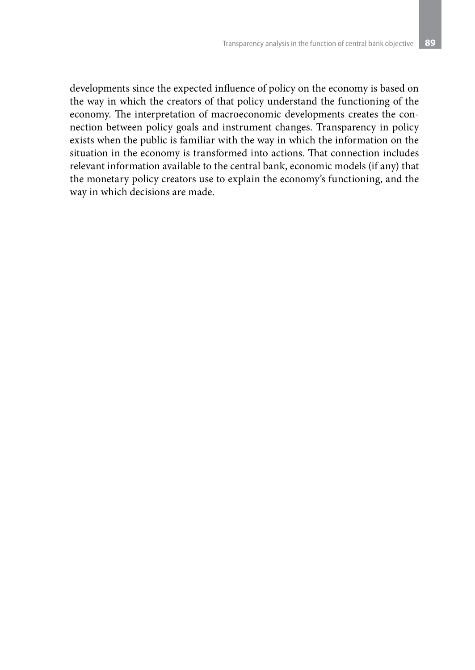developments since the expected influence of policy on the economy is based on the way in which the creators of that policy understand the functioning of the economy. The interpretation of macroeconomic developments creates the connection between policy goals and instrument changes. Transparency in policy exists when the public is familiar with the way in which the information on the situation in the economy is transformed into actions. That connection includes relevant information available to the central bank, economic models (if any) that the monetary policy creators use to explain the economy's functioning, and the way in which decisions are made.